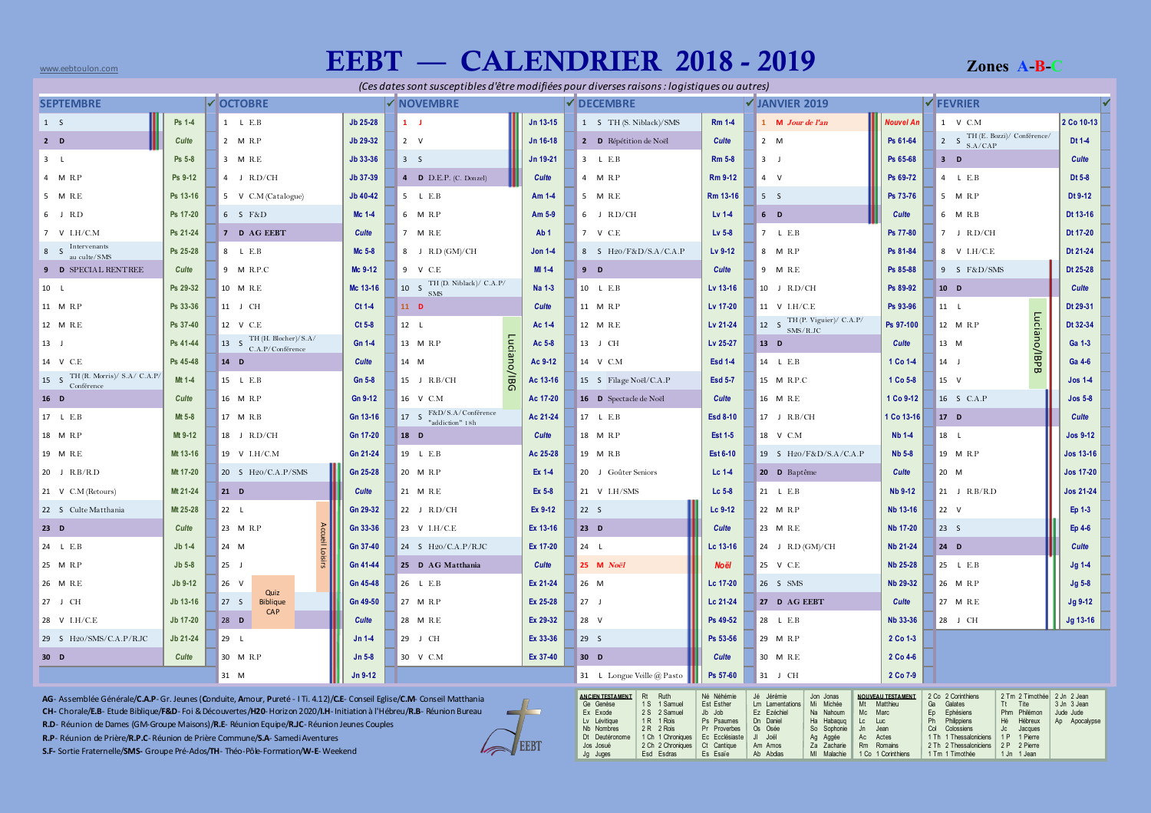## www.eebtoulon.com**is are computed to a second computed as a cones are computed as a cones and the computatory of the cones and the computators of**  $\bf EERT$  **and**  $\bf CALENDRIER$  **and**  $\bf 2018$  **-**  $\bf 2019$  **and**  $\bf Z$  **ones and**  $\bf B\text{-}C$

1 Tm 1 Timothée

| (Ces dates sont susceptibles d'être modifiées pour diverses raisons : logistiques ou autres)                                                                                                                                                                                                                                                                                                                                                                                                                                                                |                  |                                                  |          |                                               |                                        |                 |                                                                                                                                                                                                                                                                               |                                                                                                |                                                                                                                                                                                                                                                     |                                                                                                           |                       |                                                                                                                                                                                                                                                                       |  |                                                          |  |
|-------------------------------------------------------------------------------------------------------------------------------------------------------------------------------------------------------------------------------------------------------------------------------------------------------------------------------------------------------------------------------------------------------------------------------------------------------------------------------------------------------------------------------------------------------------|------------------|--------------------------------------------------|----------|-----------------------------------------------|----------------------------------------|-----------------|-------------------------------------------------------------------------------------------------------------------------------------------------------------------------------------------------------------------------------------------------------------------------------|------------------------------------------------------------------------------------------------|-----------------------------------------------------------------------------------------------------------------------------------------------------------------------------------------------------------------------------------------------------|-----------------------------------------------------------------------------------------------------------|-----------------------|-----------------------------------------------------------------------------------------------------------------------------------------------------------------------------------------------------------------------------------------------------------------------|--|----------------------------------------------------------|--|
| <b>√OCTOBRE</b><br><b>SEPTEMBRE</b>                                                                                                                                                                                                                                                                                                                                                                                                                                                                                                                         |                  |                                                  |          | V NOVEMBRE                                    |                                        |                 | DECEMBRE                                                                                                                                                                                                                                                                      | V JANVIER 2019                                                                                 |                                                                                                                                                                                                                                                     |                                                                                                           |                       | <b>√FEVRIER</b>                                                                                                                                                                                                                                                       |  |                                                          |  |
| 1 S                                                                                                                                                                                                                                                                                                                                                                                                                                                                                                                                                         | Ps 1-4           | 1 L E.B                                          | Jb 25-28 | $1 \quad J$                                   |                                        | Jn 13-15        | 1 S TH (S. Niblack)/SMS                                                                                                                                                                                                                                                       | <b>Rm 1-4</b>                                                                                  | 1 M Jour de l'an                                                                                                                                                                                                                                    | <b>Nouvel An</b>                                                                                          |                       | 1 V C.M                                                                                                                                                                                                                                                               |  | 2 Co 10-13                                               |  |
| $2$ D                                                                                                                                                                                                                                                                                                                                                                                                                                                                                                                                                       | Culte            | 2 M R.P                                          | Jb 29-32 | $2 \quad V$                                   |                                        | Jn 16-18        | 2 D Répétition de Noël                                                                                                                                                                                                                                                        | Culte                                                                                          | 2 M                                                                                                                                                                                                                                                 | Ps 61-64                                                                                                  |                       | 2 $S$ TH (E. Bozzi)/ Conférence/<br>S.A/CAP                                                                                                                                                                                                                           |  | Dt 1-4                                                   |  |
| 3L                                                                                                                                                                                                                                                                                                                                                                                                                                                                                                                                                          | Ps 5-8           | 3 M R.E                                          | Jb 33-36 | 3S                                            |                                        | Jn 19-21        | 3 L E.B                                                                                                                                                                                                                                                                       | <b>Rm 5-8</b>                                                                                  | 3J                                                                                                                                                                                                                                                  | Ps 65-68                                                                                                  |                       | $3$ D                                                                                                                                                                                                                                                                 |  | <b>Culte</b>                                             |  |
| 4 M R.P                                                                                                                                                                                                                                                                                                                                                                                                                                                                                                                                                     | Ps 9-12          | 4 J R.D/CH                                       | Jb 37-39 | <b>4 D</b> D.E.P. (C. Donzel)                 |                                        | Culte           | 4 M R.P                                                                                                                                                                                                                                                                       | Rm 9-12                                                                                        | 4 V                                                                                                                                                                                                                                                 | Ps 69-72                                                                                                  |                       | 4 L E.B                                                                                                                                                                                                                                                               |  | Dt 5-8                                                   |  |
| 5 M R.E                                                                                                                                                                                                                                                                                                                                                                                                                                                                                                                                                     | Ps 13-16         | 5 V C.M (Catalogue)                              | Jb 40-42 | 5 L E.B                                       |                                        | Am 1-4          | 5 M R.E                                                                                                                                                                                                                                                                       | Rm 13-16                                                                                       | 5S                                                                                                                                                                                                                                                  | Ps 73-76                                                                                                  |                       | 5 M R.P                                                                                                                                                                                                                                                               |  | Dt 9-12                                                  |  |
| 6 J R.D                                                                                                                                                                                                                                                                                                                                                                                                                                                                                                                                                     | Ps 17-20         | 6 S F&D                                          | Mc 1-4   | 6 M R.P                                       |                                        | Am 5-9          | $6$ J R.D/CH                                                                                                                                                                                                                                                                  | $Lv$ 1-4                                                                                       | $6$ D                                                                                                                                                                                                                                               | <b>Culte</b>                                                                                              |                       | 6 M R.B                                                                                                                                                                                                                                                               |  | Dt 13-16                                                 |  |
| 7 V I.H/C.M                                                                                                                                                                                                                                                                                                                                                                                                                                                                                                                                                 | Ps 21-24         | 7 D AG EEBT                                      | Culte    | 7 M R.E                                       |                                        | Ab <sub>1</sub> | 7 V C.E                                                                                                                                                                                                                                                                       | Lv 5-8                                                                                         | 7 L E.B                                                                                                                                                                                                                                             | Ps 77-80                                                                                                  |                       | 7 J R.D/CH                                                                                                                                                                                                                                                            |  | Dt 17-20                                                 |  |
| Intervenants<br>8S<br>au culte/SMS                                                                                                                                                                                                                                                                                                                                                                                                                                                                                                                          | Ps 25-28         | 8 L E.B                                          | Mc 5-8   | 8 J R.D (GM)/CH                               |                                        | <b>Jon 1-4</b>  | 8 S H20/F&D/S.A/C.A.P                                                                                                                                                                                                                                                         | Lv 9-12                                                                                        | 8 M R.P                                                                                                                                                                                                                                             | Ps 81-84                                                                                                  |                       | 8 V I.H/C.E                                                                                                                                                                                                                                                           |  | Dt 21-24                                                 |  |
| 9 D SPECIAL RENTREE                                                                                                                                                                                                                                                                                                                                                                                                                                                                                                                                         | Culte            | 9 M R.P.C                                        | Mc 9-12  | 9 V C.E                                       |                                        | $MI 1-4$        | $9$ D                                                                                                                                                                                                                                                                         | Culte                                                                                          | 9 M R.E                                                                                                                                                                                                                                             | Ps 85-88                                                                                                  |                       | 9 S F&D/SMS                                                                                                                                                                                                                                                           |  | Dt 25-28                                                 |  |
| 10 L                                                                                                                                                                                                                                                                                                                                                                                                                                                                                                                                                        | Ps 29-32         | 10 M R.E                                         | Mc 13-16 | TH (D. Niblack)/ C.A.P/<br>10 S<br><b>SMS</b> |                                        | Na 1-3          | 10 L E.B                                                                                                                                                                                                                                                                      | Lv 13-16                                                                                       | 10 J R.D/CH                                                                                                                                                                                                                                         | Ps 89-92                                                                                                  |                       | 10 D                                                                                                                                                                                                                                                                  |  | Culte                                                    |  |
| 11 M R.P                                                                                                                                                                                                                                                                                                                                                                                                                                                                                                                                                    | Ps 33-36         | 11 J CH                                          | $Ct1-4$  | $11$ D                                        |                                        | Culte           | 11 M R.P                                                                                                                                                                                                                                                                      | Lv 17-20                                                                                       | 11 V I.H/C.E                                                                                                                                                                                                                                        | Ps 93-96                                                                                                  |                       | 11 L                                                                                                                                                                                                                                                                  |  | Dt 29-31                                                 |  |
| 12 M R.E                                                                                                                                                                                                                                                                                                                                                                                                                                                                                                                                                    | Ps 37-40         | 12 V C.E                                         | Ct 5-8   | 12 <sub>1</sub>                               |                                        | Ac 1-4          | 12 M R.E                                                                                                                                                                                                                                                                      | Lv 21-24                                                                                       | TH (P. Viguier)/ C.A.P/<br>12 S<br>SMS/R.JC                                                                                                                                                                                                         | Ps 97-100                                                                                                 |                       | Luciano/IBPB<br>12 M R.P                                                                                                                                                                                                                                              |  | Dt 32-34                                                 |  |
| 13 J                                                                                                                                                                                                                                                                                                                                                                                                                                                                                                                                                        | Ps 41-44         | TH (H. Blocher)/S.A/<br>13 S<br>C.A.P/Conférence | Gn 1-4   | 13 M R.P                                      |                                        | Ac 5-8          | 13 J CH                                                                                                                                                                                                                                                                       | Lv 25-27                                                                                       | 13 D                                                                                                                                                                                                                                                | <b>Culte</b>                                                                                              |                       | 13 M                                                                                                                                                                                                                                                                  |  | Ga 1-3                                                   |  |
| 14 V C.E                                                                                                                                                                                                                                                                                                                                                                                                                                                                                                                                                    | Ps 45-48         | 14 D                                             | Culte    | 14 M                                          |                                        | Ac 9-12         | 14 V C.M                                                                                                                                                                                                                                                                      | <b>Esd 1-4</b>                                                                                 | 14 L E.B                                                                                                                                                                                                                                            | 1 Co 1-4                                                                                                  |                       | $14$ J                                                                                                                                                                                                                                                                |  | Ga 4-6                                                   |  |
| TH (R. Morris)/ S.A/ C.A.P/<br>15 S<br>Conférence                                                                                                                                                                                                                                                                                                                                                                                                                                                                                                           | Mt 1-4           | 15 L E.B                                         | Gn 5-8   | 15 J R.B/CH                                   | Luciano/IBG                            | Ac 13-16        | 15 S Filage Noël/C.A.P                                                                                                                                                                                                                                                        | <b>Esd 5-7</b>                                                                                 | 15 M R.P.C                                                                                                                                                                                                                                          | 1 Co 5-8                                                                                                  |                       | 15 V                                                                                                                                                                                                                                                                  |  | $Jos1-4$                                                 |  |
| 16 D                                                                                                                                                                                                                                                                                                                                                                                                                                                                                                                                                        | Culte            | 16 M R.P                                         | Gn 9-12  | 16 V C.M                                      |                                        | Ac 17-20        | 16 D Spectacle de Noël                                                                                                                                                                                                                                                        | <b>Culte</b>                                                                                   | 16 M R.E                                                                                                                                                                                                                                            | 1 Co 9-12                                                                                                 |                       | 16 S C.A.P                                                                                                                                                                                                                                                            |  | $Jos5-8$                                                 |  |
| 17 L E.B                                                                                                                                                                                                                                                                                                                                                                                                                                                                                                                                                    | Mt 5-8           | 17 M R.B                                         | Gn 13-16 | F&D/S.A/Conférence<br>17S<br>"addiction" 18h  |                                        | Ac 21-24        | 17 L E.B                                                                                                                                                                                                                                                                      | Esd 8-10                                                                                       | 17 J R.B/CH                                                                                                                                                                                                                                         | 1 Co 13-16                                                                                                |                       | $17$ D                                                                                                                                                                                                                                                                |  | Culte                                                    |  |
| 18 M R.P                                                                                                                                                                                                                                                                                                                                                                                                                                                                                                                                                    | Mt 9-12          | 18 J R.D/CH                                      | Gn 17-20 | 18 D                                          |                                        | Culte           | 18 M R.P                                                                                                                                                                                                                                                                      | Est 1-5                                                                                        | 18 V C.M                                                                                                                                                                                                                                            | <b>Nb 1-4</b>                                                                                             |                       | 18 L                                                                                                                                                                                                                                                                  |  | <b>Jos 9-12</b>                                          |  |
| 19 M R.E                                                                                                                                                                                                                                                                                                                                                                                                                                                                                                                                                    | Mt 13-16         | 19 V I.H/C.M                                     | Gn 21-24 | 19 L E.B                                      |                                        | Ac 25-28        | 19 M R.B                                                                                                                                                                                                                                                                      | Est 6-10                                                                                       | 19 S H20/F&D/S.A/C.A.P                                                                                                                                                                                                                              | <b>Nb 5-8</b>                                                                                             |                       | 19 M R.P                                                                                                                                                                                                                                                              |  | <b>Jos 13-16</b>                                         |  |
| 20 J R.B/R.D                                                                                                                                                                                                                                                                                                                                                                                                                                                                                                                                                | Mt 17-20         | 20 S H <sub>20</sub> /C.A.P/SMS                  | Gn 25-28 | 20 M R.P                                      |                                        | Ex 1-4          | 20 J Goûter Seniors                                                                                                                                                                                                                                                           | Lc 1-4                                                                                         | 20 D Baptême                                                                                                                                                                                                                                        | Culte                                                                                                     |                       | 20 M                                                                                                                                                                                                                                                                  |  | <b>Jos 17-20</b>                                         |  |
| 21 V C.M (Retours)                                                                                                                                                                                                                                                                                                                                                                                                                                                                                                                                          | Mt 21-24         | $21$ D                                           | Culte    | 21 M R.E                                      |                                        | Ex 5-8          | 21 V I.H/SMS                                                                                                                                                                                                                                                                  | Lc 5-8                                                                                         | 21 L E.B                                                                                                                                                                                                                                            | <b>Nb</b> 9-12                                                                                            |                       | 21 J R.B/R.D                                                                                                                                                                                                                                                          |  | <b>Jos 21-24</b>                                         |  |
| 22 S Culte Matthania                                                                                                                                                                                                                                                                                                                                                                                                                                                                                                                                        | Mt 25-28         | 22 L                                             | Gn 29-32 | 22 J R.D/CH                                   |                                        | Ex 9-12         | 22S                                                                                                                                                                                                                                                                           | Lc 9-12                                                                                        | 22 M R.P                                                                                                                                                                                                                                            | <b>Nb 13-16</b>                                                                                           |                       | 22 V                                                                                                                                                                                                                                                                  |  | Ep 1-3                                                   |  |
| $23$ D                                                                                                                                                                                                                                                                                                                                                                                                                                                                                                                                                      | Culte            | 23 M R.P                                         | Gn 33-36 | 23 V I.H/C.E                                  |                                        | Ex 13-16        | $23$ D                                                                                                                                                                                                                                                                        | Culte                                                                                          | 23 M R.E                                                                                                                                                                                                                                            | <b>Nb 17-20</b>                                                                                           |                       | 23 S                                                                                                                                                                                                                                                                  |  | Ep 4-6                                                   |  |
| 24 L E.B                                                                                                                                                                                                                                                                                                                                                                                                                                                                                                                                                    | $Jb$ 1-4         | 24 M                                             | Gn 37-40 | 24 S H20/C.A.P/R.JC                           |                                        | Ex 17-20        | 24 L                                                                                                                                                                                                                                                                          | Lc 13-16                                                                                       | 24 J R.D (GM)/CH                                                                                                                                                                                                                                    | Nb 21-24                                                                                                  |                       | 24 D                                                                                                                                                                                                                                                                  |  | Culte                                                    |  |
| 25 M R.P                                                                                                                                                                                                                                                                                                                                                                                                                                                                                                                                                    | Jb 5-8           | $25$ J                                           | Gn 41-44 | 25 D AG Matthania                             |                                        | Culte           | 25 M Noël                                                                                                                                                                                                                                                                     | <b>Noël</b>                                                                                    | 25 V C.E                                                                                                                                                                                                                                            | <b>Nb 25-28</b>                                                                                           |                       | 25 L E.B                                                                                                                                                                                                                                                              |  | $Jg$ 1-4                                                 |  |
| 26 M R.E                                                                                                                                                                                                                                                                                                                                                                                                                                                                                                                                                    | Jb 9-12          | 26 V                                             | Gn 45-48 | 26 L E.B                                      |                                        | Ex 21-24        | 26 M                                                                                                                                                                                                                                                                          | Lc 17-20                                                                                       | 26 S SMS                                                                                                                                                                                                                                            | Nb 29-32                                                                                                  |                       | 26 M R.P                                                                                                                                                                                                                                                              |  | <b>Jg 5-8</b>                                            |  |
| 27 J CH                                                                                                                                                                                                                                                                                                                                                                                                                                                                                                                                                     | Jb 13-16         | Quiz<br>27S<br><b>Biblique</b>                   | Gn 49-50 | 27 M R.P                                      |                                        | Ex 25-28        | 27J                                                                                                                                                                                                                                                                           | Lc 21-24                                                                                       | 27 D AG EEBT                                                                                                                                                                                                                                        | Culte                                                                                                     |                       | 27 M R.E                                                                                                                                                                                                                                                              |  | Jg 9-12                                                  |  |
| 28 V I.H/C.E                                                                                                                                                                                                                                                                                                                                                                                                                                                                                                                                                | Jb 17-20         | CAP<br>28 D                                      | Culte    | 28 M R.E                                      |                                        | Ex 29-32        | 28 V                                                                                                                                                                                                                                                                          | Ps 49-52                                                                                       | 28<br>$L$ E.B                                                                                                                                                                                                                                       | Nb 33-36                                                                                                  |                       | 28 J CH                                                                                                                                                                                                                                                               |  | <b>Jg 13-16</b>                                          |  |
| 29 S H20/SMS/C.A.P/R.JC                                                                                                                                                                                                                                                                                                                                                                                                                                                                                                                                     | Jb 21-24         | 29 L                                             | $Jn 1-4$ | 29 J CH                                       |                                        | Ex 33-36        | 29S                                                                                                                                                                                                                                                                           | Ps 53-56                                                                                       | 29 M R.P                                                                                                                                                                                                                                            | 2 Co 1-3                                                                                                  |                       |                                                                                                                                                                                                                                                                       |  |                                                          |  |
| 30 D                                                                                                                                                                                                                                                                                                                                                                                                                                                                                                                                                        | Culte            | 30 M R.P                                         | $Jn5-8$  | 30 V C.M                                      |                                        | Ex 37-40        | 30 D                                                                                                                                                                                                                                                                          | Culte                                                                                          | 30 M R.E                                                                                                                                                                                                                                            | 2 Co 4-6                                                                                                  |                       |                                                                                                                                                                                                                                                                       |  |                                                          |  |
|                                                                                                                                                                                                                                                                                                                                                                                                                                                                                                                                                             | $Jn9-12$<br>31 M |                                                  |          |                                               | 31 L Longue Veille @ Pasto<br>Ps 57-60 |                 | 31 J CH                                                                                                                                                                                                                                                                       | 2 Co 7-9                                                                                       |                                                                                                                                                                                                                                                     |                                                                                                           |                       |                                                                                                                                                                                                                                                                       |  |                                                          |  |
| AG-Assemblée Générale/C.A.P-Gr. Jeunes (Conduite, Amour, Pureté - I Ti. 4.12)/CE-Conseil Eglise/C.M-Conseil Matthania<br>CH- Chorale/E.B- Etude Biblique/F&D- Foi & Découvertes/H20- Horizon 2020/I.H- Initiation à l'Hébreu/R.B- Réunion Bureau<br><u>and the second second</u><br>R.D- Réunion de Dames (GM-Groupe Maisons)/R.E- Réunion Equipe/R.JC- Réunion Jeunes Couples<br>R.P- Réunion de Prière/R.P.C- Réunion de Prière Commune/S.A- Samedi Aventures<br>EEBT<br>S.F- Sortie Fraternelle/SMS- Groupe Pré-Ados/TH- Théo-Pôle-Formation/W-E-Weekend |                  |                                                  |          |                                               |                                        |                 | <b>ANCIEN TESTAMENT</b><br>Rt<br>Ruth<br>Ge Genèse<br>1 S 1 Samuel<br>Ex Exode<br>2 S 2 Samuel<br>Lv Lévitique<br>1 Rois<br>1 R<br>Nb Nombres<br>2 R 2 Rois<br>Dt Deutéronome<br>1 Ch 1 Chroniques<br>2 Ch 2 Chroniques   Ct Cantique<br>Jos Josué<br>enul. nl.<br>Esd Esdras | Né Néhémie<br>Est Esther<br>Jb Job<br>Ps Psaumes<br>Pr Proverbes<br>Ec Ecclésiaste<br>Es Esaïe | Jé Jérémie<br>Jon Jonas<br>Lm Lamentations<br>Mi Michée<br>Mt<br>Ez Ezéchiel<br>Na Nahoum<br>Mc<br>Ha Habaquq<br>Dn Daniel<br>Lc<br>Os Osée<br>So Sophonie<br>Jn<br>JI Joël<br>Ag Aggée<br>Ac<br>Am Amos<br>Za Zacharie<br>Ah Ahdias<br>MI Malachie | <b>NOUVEAU TESTAMENT</b><br>Matthieu<br>Marc<br>Luc<br>Jean<br>Actes<br>Rm Romains<br>1 Co. 1 Corinthiens | Ga<br>Ep<br>Ph<br>Col | 2 Co 2 Corinthiens<br>2 Tm 2 Timothée<br>Galates<br>Tt Tite<br>Ephésiens<br>Phm Philémon<br>Philippiens<br>Hé<br>Hébreux<br>Colossiens<br>Jc<br>Jacques<br>1 Th 1 Thessaloniciens<br>1P<br>1 Pierre<br>2 Th 2 Thessaloniciens 2 P 2 Pierre<br>1 Tm 1 Timothée<br>1.1n |  | 2 Jn 2 Jean<br>3 Jn 3 Jean<br>Jude Jude<br>Ap Apocalypse |  |

Esd Esdras